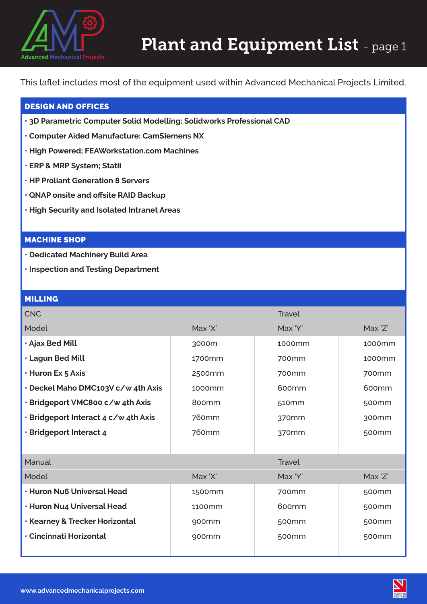

This laflet includes most of the equipment used within Advanced Mechanical Projects Limited.

## DESIGN AND OFFICES

- **3D Parametric Computer Solid Modelling: Solidworks Professional CAD**
- **Computer Aided Manufacture: CamSiemens NX**
- **High Powered; FEAWorkstation.com Machines**
- **ERP & MRP System; Statii**
- **HP Proliant Generation 8 Servers**
- **• QNAP onsite and offsite RAID Backup**
- **• High Security and Isolated Intranet Areas**

## MACHINE SHOP

- **• Dedicated Machinery Build Area**
- **• Inspection and Testing Department**

## MILLING

| <b>CNC</b>                                |                   | <b>Travel</b>     |                   |
|-------------------------------------------|-------------------|-------------------|-------------------|
| Model                                     | Max 'X'           | Max 'Y'           | Max 'Z'           |
| · Ajax Bed Mill                           | 3000m             | 1000mm            | 1000mm            |
| • Lagun Bed Mill                          | 1700mm            | 700mm             | 1000mm            |
| • Huron Ex 5 Axis                         | 2500mm            | 700 <sub>mm</sub> | 700 <sub>mm</sub> |
| . Deckel Maho DMC103V c/w 4th Axis        | 1000mm            | 600 <sub>mm</sub> | 600mm             |
| • Bridgeport VMC800 c/w 4th Axis          | 800mm             | 510 <sub>mm</sub> | 500 <sub>mm</sub> |
| • Bridgeport Interact 4 c/w 4th Axis      | 760mm             | 370 <sub>mm</sub> | 300mm             |
| · Bridgeport Interact 4                   | 760mm             | 370 <sub>mm</sub> | 500mm             |
|                                           |                   |                   |                   |
| Manual                                    |                   | <b>Travel</b>     |                   |
| Model                                     | Max 'X'           | Max 'Y'           | Max 'Z'           |
| <b>· Huron Nu6 Universal Head</b>         | 1500mm            | 700mm             | 500mm             |
| • Huron Nu4 Universal Head                | 1100mm            | 600mm             | 500 <sub>mm</sub> |
| <b>· Kearney &amp; Trecker Horizontal</b> | 900 <sub>mm</sub> | 500 <sub>mm</sub> | 500 <sub>mm</sub> |
| • Cincinnati Horizontal                   | 900 <sub>mm</sub> | 500mm             | 500mm             |
|                                           |                   |                   |                   |